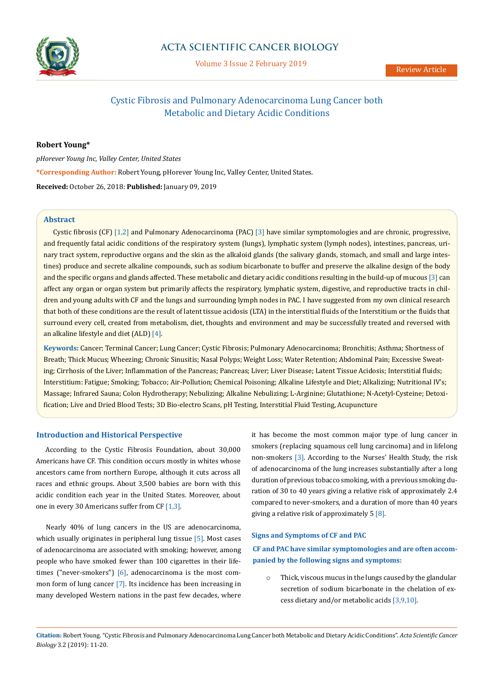

## **ACTA SCIENTIFIC CANCER BIOLOGY**

Volume 3 Issue 2 February 2019

# Cystic Fibrosis and Pulmonary Adenocarcinoma Lung Cancer both Metabolic and Dietary Acidic Conditions

#### **Robert Young\***

*pHorever Young Inc, Valley Center, United States*  **\*Corresponding Author:** Robert Young, pHorever Young Inc, Valley Center, United States. **Received:** October 26, 2018: **Published:** January 09, 2019

#### **Abstract**

Cystic fibrosis (CF) [1,2] and Pulmonary Adenocarcinoma (PAC) [3] have similar symptomologies and are chronic, progressive, and frequently fatal acidic conditions of the respiratory system (lungs), lymphatic system (lymph nodes), intestines, pancreas, urinary tract system, reproductive organs and the skin as the alkaloid glands (the salivary glands, stomach, and small and large intestines) produce and secrete alkaline compounds, such as sodium bicarbonate to buffer and preserve the alkaline design of the body and the specific organs and glands affected. These metabolic and dietary acidic conditions resulting in the build-up of mucous [3] can affect any organ or organ system but primarily affects the respiratory, lymphatic system, digestive, and reproductive tracts in children and young adults with CF and the lungs and surrounding lymph nodes in PAC. I have suggested from my own clinical research that both of these conditions are the result of latent tissue acidosis (LTA) in the interstitial fluids of the Interstitium or the fluids that surround every cell, created from metabolism, diet, thoughts and environment and may be successfully treated and reversed with an alkaline lifestyle and diet (ALD) [4].

**Keywords:** Cancer; Terminal Cancer; Lung Cancer; Cystic Fibrosis; Pulmonary Adenocarcinoma; Bronchitis; Asthma; Shortness of Breath; Thick Mucus; Wheezing; Chronic Sinusitis; Nasal Polyps; Weight Loss; Water Retention; Abdominal Pain; Excessive Sweating; Cirrhosis of the Liver; Inflammation of the Pancreas; Pancreas; Liver; Liver Disease; Latent Tissue Acidosis; Interstitial fluids; Interstitium: Fatigue; Smoking; Tobacco; Air-Pollution; Chemical Poisoning; Alkaline Lifestyle and Diet; Alkalizing; Nutritional IV's; Massage; Infrared Sauna; Colon Hydrotherapy; Nebulizing; Alkaline Nebulizing; L-Arginine; Glutathione; N-Acetyl-Cysteine; Detoxification; Live and Dried Blood Tests; 3D Bio-electro Scans, pH Testing, Interstitial Fluid Testing, Acupuncture

#### **Introduction and Historical Perspective**

According to the Cystic Fibrosis Foundation, about 30,000 Americans have CF. This condition occurs mostly in whites whose ancestors came from northern Europe, although it cuts across all races and ethnic groups. About 3,500 babies are born with this acidic condition each year in the United States. Moreover, about one in every 30 Americans suffer from CF [1,3].

Nearly 40% of lung cancers in the US are adenocarcinoma, which usually originates in peripheral lung tissue [5]. Most cases of adenocarcinoma are associated with smoking; however, among people who have smoked fewer than 100 cigarettes in their lifetimes ("never-smokers") [6], adenocarcinoma is the most common form of lung cancer [7]. Its incidence has been increasing in many developed Western nations in the past few decades, where it has become the most common major type of lung cancer in smokers (replacing squamous cell lung carcinoma) and in lifelong non-smokers [3]. According to the Nurses' Health Study, the risk of adenocarcinoma of the lung increases substantially after a long duration of previous tobacco smoking, with a previous smoking duration of 30 to 40 years giving a relative risk of approximately 2.4 compared to never-smokers, and a duration of more than 40 years giving a relative risk of approximately 5 [8].

#### **Signs and Symptoms of CF and PAC**

### **CF and PAC have similar symptomologies and are often accompanied by the following signs and symptoms:**

Thick, viscous mucus in the lungs caused by the glandular secretion of sodium bicarbonate in the chelation of excess dietary and/or metabolic acids [3,9,10].

**Citation:** Robert Young*.* "Cystic Fibrosis and Pulmonary Adenocarcinoma Lung Cancer both Metabolic and Dietary Acidic Conditions". *Acta Scientific Cancer Biology* 3.2 (2019): 11-20.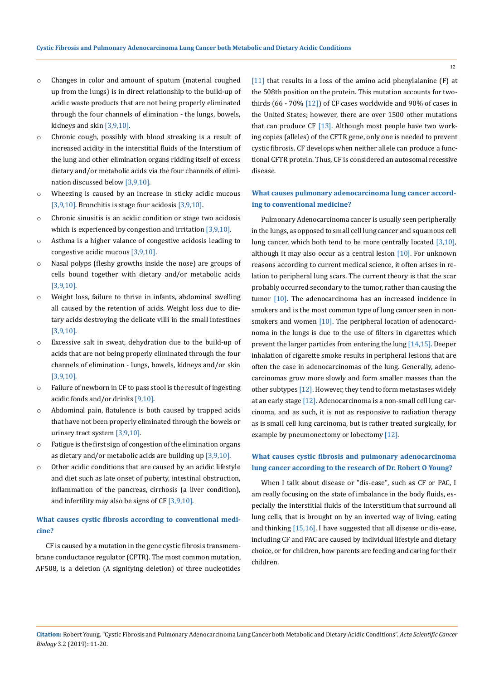- o Changes in color and amount of sputum (material coughed up from the lungs) is in direct relationship to the build-up of acidic waste products that are not being properly eliminated through the four channels of elimination - the lungs, bowels, kidneys and skin [3,9,10].
- o Chronic cough, possibly with blood streaking is a result of increased acidity in the interstitial fluids of the Interstium of the lung and other elimination organs ridding itself of excess dietary and/or metabolic acids via the four channels of elimination discussed below [3,9,10].
- o Wheezing is caused by an increase in sticky acidic mucous [3,9,10]. Bronchitis is stage four acidosis [3,9,10].
- o Chronic sinusitis is an acidic condition or stage two acidosis which is experienced by congestion and irritation [3,9,10].
- o Asthma is a higher valance of congestive acidosis leading to congestive acidic mucous [3,9,10].
- o Nasal polyps (fleshy growths inside the nose) are groups of cells bound together with dietary and/or metabolic acids [3,9,10].
- o Weight loss, failure to thrive in infants, abdominal swelling all caused by the retention of acids. Weight loss due to dietary acids destroying the delicate villi in the small intestines [3,9,10].
- o Excessive salt in sweat, dehydration due to the build-up of acids that are not being properly eliminated through the four channels of elimination - lungs, bowels, kidneys and/or skin [3,9,10].
- o Failure of newborn in CF to pass stool is the result of ingesting acidic foods and/or drinks [9,10].
- o Abdominal pain, flatulence is both caused by trapped acids that have not been properly eliminated through the bowels or urinary tract system [3,9,10].
- o Fatigue is the first sign of congestion of the elimination organs as dietary and/or metabolic acids are building up [3,9,10].
- o Other acidic conditions that are caused by an acidic lifestyle and diet such as late onset of puberty, intestinal obstruction, inflammation of the pancreas, cirrhosis (a liver condition), and infertility may also be signs of CF [3,9,10].

### **What causes cystic fibrosis according to conventional medicine?**

CF is caused by a mutation in the gene cystic fibrosis transmembrane conductance regulator (CFTR). The most common mutation, AF508, is a deletion (A signifying deletion) of three nucleotides [11] that results in a loss of the amino acid phenylalanine (F) at the 508th position on the protein. This mutation accounts for twothirds (66 - 70% [12]) of CF cases worldwide and 90% of cases in the United States; however, there are over 1500 other mutations that can produce CF [13]. Although most people have two working copies (alleles) of the CFTR gene, only one is needed to prevent cystic fibrosis. CF develops when neither allele can produce a functional CFTR protein. Thus, CF is considered an autosomal recessive disease.

### **What causes pulmonary adenocarcinoma lung cancer according to conventional medicine?**

Pulmonary Adenocarcinoma cancer is usually seen peripherally in the lungs, as opposed to small cell lung cancer and squamous cell lung cancer, which both tend to be more centrally located [3,10], although it may also occur as a central lesion  $[10]$ . For unknown reasons according to current medical science, it often arises in relation to peripheral lung scars. The current theory is that the scar probably occurred secondary to the tumor, rather than causing the tumor [10]. The adenocarcinoma has an increased incidence in smokers and is the most common type of lung cancer seen in nonsmokers and women [10]. The peripheral location of adenocarcinoma in the lungs is due to the use of filters in cigarettes which prevent the larger particles from entering the lung [14,15]. Deeper inhalation of cigarette smoke results in peripheral lesions that are often the case in adenocarcinomas of the lung. Generally, adenocarcinomas grow more slowly and form smaller masses than the other subtypes [12]. However, they tend to form metastases widely at an early stage [12]. Adenocarcinoma is a non-small cell lung carcinoma, and as such, it is not as responsive to radiation therapy as is small cell lung carcinoma, but is rather treated surgically, for example by pneumonectomy or lobectomy [12].

### **What causes cystic fibrosis and pulmonary adenocarcinoma lung cancer according to the research of Dr. Robert O Young?**

When I talk about disease or "dis-ease", such as CF or PAC, I am really focusing on the state of imbalance in the body fluids, especially the interstitial fluids of the Interstitium that surround all lung cells, that is brought on by an inverted way of living, eating and thinking  $[15,16]$ . I have suggested that all disease or dis-ease, including CF and PAC are caused by individual lifestyle and dietary choice, or for children, how parents are feeding and caring for their children.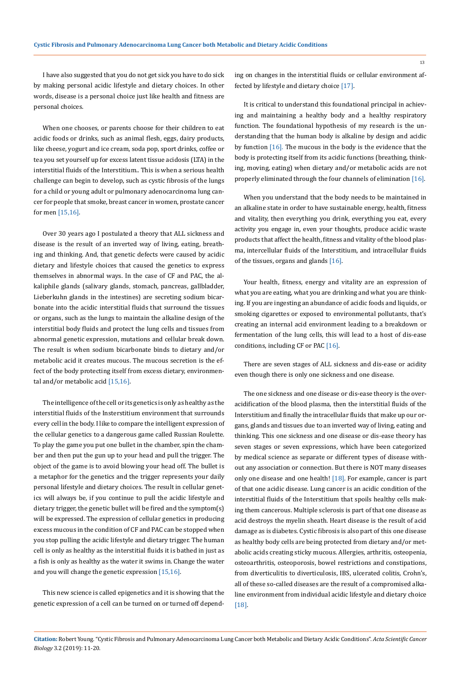I have also suggested that you do not get sick you have to do sick by making personal acidic lifestyle and dietary choices. In other words, disease is a personal choice just like health and fitness are personal choices.

When one chooses, or parents choose for their children to eat acidic foods or drinks, such as animal flesh, eggs, dairy products, like cheese, yogurt and ice cream, soda pop, sport drinks, coffee or tea you set yourself up for excess latent tissue acidosis (LTA) in the interstitial fluids of the Interstitium.. This is when a serious health challenge can begin to develop, such as cystic fibrosis of the lungs for a child or young adult or pulmonary adenocarcinoma lung cancer for people that smoke, breast cancer in women, prostate cancer for men [15,16].

Over 30 years ago I postulated a theory that ALL sickness and disease is the result of an inverted way of living, eating, breathing and thinking. And, that genetic defects were caused by acidic dietary and lifestyle choices that caused the genetics to express themselves in abnormal ways. In the case of CF and PAC, the alkaliphile glands (salivary glands, stomach, pancreas, gallbladder, Lieberkuhn glands in the intestines) are secreting sodium bicarbonate into the acidic interstitial fluids that surround the tissues or organs, such as the lungs to maintain the alkaline design of the interstitial body fluids and protect the lung cells and tissues from abnormal genetic expression, mutations and cellular break down. The result is when sodium bicarbonate binds to dietary and/or metabolic acid it creates mucous. The mucous secretion is the effect of the body protecting itself from excess dietary, environmental and/or metabolic acid [15,16].

The intelligence of the cell or its genetics is only as healthy as the interstitial fluids of the Insterstitium environment that surrounds every cell in the body. I like to compare the intelligent expression of the cellular genetics to a dangerous game called Russian Roulette. To play the game you put one bullet in the chamber, spin the chamber and then put the gun up to your head and pull the trigger. The object of the game is to avoid blowing your head off. The bullet is a metaphor for the genetics and the trigger represents your daily personal lifestyle and dietary choices. The result in cellular genetics will always be, if you continue to pull the acidic lifestyle and dietary trigger, the genetic bullet will be fired and the symptom(s) will be expressed. The expression of cellular genetics in producing excess mucous in the condition of CF and PAC can be stopped when you stop pulling the acidic lifestyle and dietary trigger. The human cell is only as healthy as the interstitial fluids it is bathed in just as a fish is only as healthy as the water it swims in. Change the water and you will change the genetic expression [15,16].

This new science is called epigenetics and it is showing that the genetic expression of a cell can be turned on or turned off depending on changes in the interstitial fluids or cellular environment affected by lifestyle and dietary choice [17].

It is critical to understand this foundational principal in achieving and maintaining a healthy body and a healthy respiratory function. The foundational hypothesis of my research is the understanding that the human body is alkaline by design and acidic by function [16]. The mucous in the body is the evidence that the body is protecting itself from its acidic functions (breathing, thinking, moving, eating) when dietary and/or metabolic acids are not properly eliminated through the four channels of elimination [16].

When you understand that the body needs to be maintained in an alkaline state in order to have sustainable energy, health, fitness and vitality, then everything you drink, everything you eat, every activity you engage in, even your thoughts, produce acidic waste products that affect the health, fitness and vitality of the blood plasma, intercellular fluids of the Interstitium, and intracellular fluids of the tissues, organs and glands [16].

Your health, fitness, energy and vitality are an expression of what you are eating, what you are drinking and what you are thinking. If you are ingesting an abundance of acidic foods and liquids, or smoking cigarettes or exposed to environmental pollutants, that's creating an internal acid environment leading to a breakdown or fermentation of the lung cells, this will lead to a host of dis-ease conditions, including CF or PAC [16].

There are seven stages of ALL sickness and dis-ease or acidity even though there is only one sickness and one disease.

The one sickness and one disease or dis-ease theory is the overacidification of the blood plasma, then the interstitial fluids of the Interstitium and finally the intracellular fluids that make up our organs, glands and tissues due to an inverted way of living, eating and thinking. This one sickness and one disease or dis-ease theory has seven stages or seven expressions, which have been categorized by medical science as separate or different types of disease without any association or connection. But there is NOT many diseases only one disease and one health! [18]. For example, cancer is part of that one acidic disease. Lung cancer is an acidic condition of the interstitial fluids of the Interstitium that spoils healthy cells making them cancerous. Multiple sclerosis is part of that one disease as acid destroys the myelin sheath. Heart disease is the result of acid damage as is diabetes. Cystic fibrosis is also part of this one disease as healthy body cells are being protected from dietary and/or metabolic acids creating sticky mucous. Allergies, arthritis, osteopenia, osteoarthritis, osteoporosis, bowel restrictions and constipations, from diverticulitis to diverticulosis, IBS, ulcerated colitis, Crohn's, all of these so-called diseases are the result of a compromised alkaline environment from individual acidic lifestyle and dietary choice [18].

**Citation:** Robert Young*.* "Cystic Fibrosis and Pulmonary Adenocarcinoma Lung Cancer both Metabolic and Dietary Acidic Conditions". *Acta Scientific Cancer Biology* 3.2 (2019): 11-20.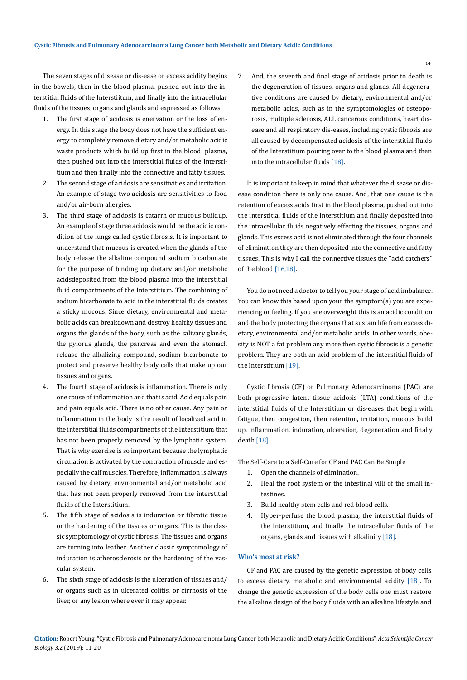The seven stages of disease or dis-ease or excess acidity begins in the bowels, then in the blood plasma, pushed out into the interstitial fluids of the Interstiitum, and finally into the intracellular fluids of the tissues, organs and glands and expressed as follows:

- 1. The first stage of acidosis is enervation or the loss of energy. In this stage the body does not have the sufficient energy to completely remove dietary and/or metabolic acidic waste products which build up first in the blood plasma, then pushed out into the interstitial fluids of the Interstitium and then finally into the connective and fatty tissues.
- The second stage of acidosis are sensitivities and irritation. An example of stage two acidosis are sensitivities to food and/or air-born allergies.
- 3. The third stage of acidosis is catarrh or mucous buildup. An example of stage three acidosis would be the acidic condition of the lungs called cystic fibrosis. It is important to understand that mucous is created when the glands of the body release the alkaline compound sodium bicarbonate for the purpose of binding up dietary and/or metabolic acidsdeposited from the blood plasma into the interstitial fluid compartments of the Interstitium. The combining of sodium bicarbonate to acid in the interstitial fluids creates a sticky mucous. Since dietary, environmental and metabolic acids can breakdown and destroy healthy tissues and organs the glands of the body, such as the salivary glands, the pylorus glands, the pancreas and even the stomach release the alkalizing compound, sodium bicarbonate to protect and preserve healthy body cells that make up our tissues and organs.
- The fourth stage of acidosis is inflammation. There is only one cause of inflammation and that is acid. Acid equals pain and pain equals acid. There is no other cause. Any pain or inflammation in the body is the result of localized acid in the interstitial fluids compartments of the Interstitium that has not been properly removed by the lymphatic system. That is why exercise is so important because the lymphatic circulation is activated by the contraction of muscle and especially the calf muscles. Therefore, inflammation is always caused by dietary, environmental and/or metabolic acid that has not been properly removed from the interstitial fluids of the Interstitium.
- 5. The fifth stage of acidosis is induration or fibrotic tissue or the hardening of the tissues or organs. This is the classic symptomology of cystic fibrosis. The tissues and organs are turning into leather. Another classic symptomology of induration is atherosclerosis or the hardening of the vascular system.
- 6. The sixth stage of acidosis is the ulceration of tissues and/ or organs such as in ulcerated colitis, or cirrhosis of the liver, or any lesion where ever it may appear.

7. And, the seventh and final stage of acidosis prior to death is the degeneration of tissues, organs and glands. All degenerative conditions are caused by dietary, environmental and/or metabolic acids, such as in the symptomologies of osteoporosis, multiple sclerosis, ALL cancerous conditions, heart disease and all respiratory dis-eases, including cystic fibrosis are all caused by decompensated acidosis of the interstitial fluids of the Interstitium pouring over to the blood plasma and then into the intracellular fluids [18].

It is important to keep in mind that whatever the disease or disease condition there is only one cause. And, that one cause is the retention of excess acids first in the blood plasma, pushed out into the interstitial fluids of the Interstitium and finally deposited into the intracellular fluids negatively effecting the tissues, organs and glands. This excess acid is not eliminated through the four channels of elimination they are then deposited into the connective and fatty tissues. This is why I call the connective tissues the "acid catchers" of the blood [16,18].

You do not need a doctor to tell you your stage of acid imbalance. You can know this based upon your the symptom(s) you are experiencing or feeling. If you are overweight this is an acidic condition and the body protecting the organs that sustain life from excess dietary, environmental and/or metabolic acids. In other words, obesity is NOT a fat problem any more then cystic fibrosis is a genetic problem. They are both an acid problem of the interstitial fluids of the Interstitium [19].

Cystic fibrosis (CF) or Pulmonary Adenocarcinoma (PAC) are both progressive latent tissue acidosis (LTA) conditions of the interstitial fluids of the Interstitium or dis-eases that begin with fatigue, then congestion, then retention, irritation, mucous build up, inflammation, induration, ulceration, degeneration and finally death [18].

The Self-Care to a Self-Cure for CF and PAC Can Be Simple

- 1. Open the channels of elimination.
- 2. Heal the root system or the intestinal villi of the small intestines.
- 3. Build healthy stem cells and red blood cells.
- 4. Hyper-perfuse the blood plasma, the interstitial fluids of the Interstitium, and finally the intracellular fluids of the organs, glands and tissues with alkalinity [18].

#### **Who's most at risk?**

CF and PAC are caused by the genetic expression of body cells to excess dietary, metabolic and environmental acidity [18]. To change the genetic expression of the body cells one must restore the alkaline design of the body fluids with an alkaline lifestyle and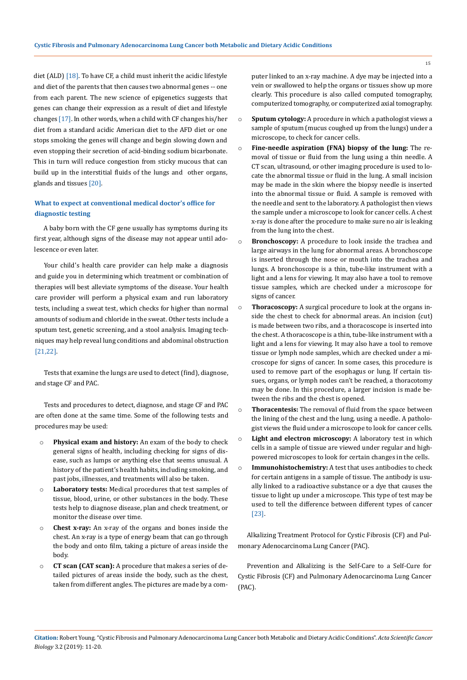diet (ALD) [18]. To have CF, a child must inherit the acidic lifestyle and diet of the parents that then causes two abnormal genes -- one from each parent. The new science of epigenetics suggests that genes can change their expression as a result of diet and lifestyle changes [17]. In other words, when a child with CF changes his/her diet from a standard acidic American diet to the AFD diet or one stops smoking the genes will change and begin slowing down and even stopping their secretion of acid-binding sodium bicarbonate. This in turn will reduce congestion from sticky mucous that can build up in the interstitial fluids of the lungs and other organs, glands and tissues [20].

### **What to expect at conventional medical doctor's office for diagnostic testing**

A baby born with the CF gene usually has symptoms during its first year, although signs of the disease may not appear until adolescence or even later.

Your child's health care provider can help make a diagnosis and guide you in determining which treatment or combination of therapies will best alleviate symptoms of the disease. Your health care provider will perform a physical exam and run laboratory tests, including a sweat test, which checks for higher than normal amounts of sodium and chloride in the sweat. Other tests include a sputum test, genetic screening, and a stool analysis. Imaging techniques may help reveal lung conditions and abdominal obstruction [21,22].

Tests that examine the lungs are used to detect (find), diagnose, and stage CF and PAC.

Tests and procedures to detect, diagnose, and stage CF and PAC are often done at the same time. Some of the following tests and procedures may be used:

- o **Physical exam and history:** An exam of the body to check general signs of health, including checking for signs of disease, such as lumps or anything else that seems unusual. A history of the patient's health habits, including smoking, and past jobs, illnesses, and treatments will also be taken.
- o **Laboratory tests:** Medical procedures that test samples of tissue, blood, urine, or other substances in the body. These tests help to diagnose disease, plan and check treatment, or monitor the disease over time.
- Chest x-ray: An x-ray of the organs and bones inside the chest. An x-ray is a type of energy beam that can go through the body and onto film, taking a picture of areas inside the body.
- o **CT scan (CAT scan):** A procedure that makes a series of detailed pictures of areas inside the body, such as the chest, taken from different angles. The pictures are made by a com-

puter linked to an x-ray machine. A dye may be injected into a vein or swallowed to help the organs or tissues show up more clearly. This procedure is also called computed tomography, computerized tomography, or computerized axial tomography.

- o **Sputum cytology:** A procedure in which a pathologist views a sample of sputum (mucus coughed up from the lungs) under a microscope, to check for cancer cells.
- o **Fine-needle aspiration (FNA) biopsy of the lung:** The removal of tissue or fluid from the lung using a thin needle. A CT scan, ultrasound, or other imaging procedure is used to locate the abnormal tissue or fluid in the lung. A small incision may be made in the skin where the biopsy needle is inserted into the abnormal tissue or fluid. A sample is removed with the needle and sent to the laboratory. A pathologist then views the sample under a microscope to look for cancer cells. A chest x-ray is done after the procedure to make sure no air is leaking from the lung into the chest.
- o **Bronchoscopy:** A procedure to look inside the trachea and large airways in the lung for abnormal areas. A bronchoscope is inserted through the nose or mouth into the trachea and lungs. A bronchoscope is a thin, tube-like instrument with a light and a lens for viewing. It may also have a tool to remove tissue samples, which are checked under a microscope for signs of cancer.
- Thoracoscopy: A surgical procedure to look at the organs inside the chest to check for abnormal areas. An incision (cut) is made between two ribs, and a thoracoscope is inserted into the chest. A thoracoscope is a thin, tube-like instrument with a light and a lens for viewing. It may also have a tool to remove tissue or lymph node samples, which are checked under a microscope for signs of cancer. In some cases, this procedure is used to remove part of the esophagus or lung. If certain tissues, organs, or lymph nodes can't be reached, a thoracotomy may be done. In this procedure, a larger incision is made between the ribs and the chest is opened.
- o **Thoracentesis:** The removal of fluid from the space between the lining of the chest and the lung, using a needle. A pathologist views the fluid under a microscope to look for cancer cells.
- o **Light and electron microscopy:** A laboratory test in which cells in a sample of tissue are viewed under regular and highpowered microscopes to look for certain changes in the cells.
- o **Immunohistochemistry:** A test that uses antibodies to check for certain antigens in a sample of tissue. The antibody is usually linked to a radioactive substance or a dye that causes the tissue to light up under a microscope. This type of test may be used to tell the difference between different types of cancer [23].

Alkalizing Treatment Protocol for Cystic Fibrosis (CF) and Pulmonary Adenocarcinoma Lung Cancer (PAC).

Prevention and Alkalizing is the Self-Care to a Self-Cure for Cystic Fibrosis (CF) and Pulmonary Adenocarcinoma Lung Cancer (PAC).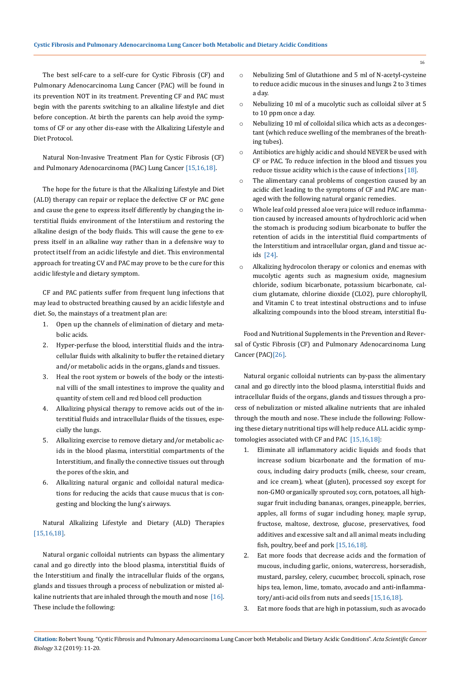The best self-care to a self-cure for Cystic Fibrosis (CF) and Pulmonary Adenocarcinoma Lung Cancer (PAC) will be found in its prevention NOT in its treatment. Preventing CF and PAC must begin with the parents switching to an alkaline lifestyle and diet before conception. At birth the parents can help avoid the symptoms of CF or any other dis-ease with the Alkalizing Lifestyle and Diet Protocol.

Natural Non-Invasive Treatment Plan for Cystic Fibrosis (CF) and Pulmonary Adenocarcinoma (PAC) Lung Cancer [15,16,18].

The hope for the future is that the Alkalizing Lifestyle and Diet (ALD) therapy can repair or replace the defective CF or PAC gene and cause the gene to express itself differently by changing the interstitial fluids environment of the Interstiium and restoring the alkaline design of the body fluids. This will cause the gene to express itself in an alkaline way rather than in a defensive way to protect itself from an acidic lifestyle and diet. This environmental approach for treating CV and PAC may prove to be the cure for this acidic lifestyle and dietary symptom.

CF and PAC patients suffer from frequent lung infections that may lead to obstructed breathing caused by an acidic lifestyle and diet. So, the mainstays of a treatment plan are:

- 1. Open up the channels of elimination of dietary and metabolic acids.
- 2. Hyper-perfuse the blood, interstitial fluids and the intracellular fluids with alkalinity to buffer the retained dietary and/or metabolic acids in the organs, glands and tissues.
- 3. Heal the root system or bowels of the body or the intestinal villi of the small intestines to improve the quality and quantity of stem cell and red blood cell production
- 4. Alkalizing physical therapy to remove acids out of the interstitial fluids and intracellular fluids of the tissues, especially the lungs.
- 5. Alkalizing exercise to remove dietary and/or metabolic acids in the blood plasma, interstitial compartments of the Interstitium, and finally the connective tissues out through the pores of the skin, and
- 6. Alkalizing natural organic and colloidal natural medications for reducing the acids that cause mucus that is congesting and blocking the lung's airways.

Natural Alkalizing Lifestyle and Dietary (ALD) Therapies [15,16,18].

Natural organic colloidal nutrients can bypass the alimentary canal and go directly into the blood plasma, interstitial fluids of the Interstitium and finally the intracellular fluids of the organs, glands and tissues through a process of nebulization or misted alkaline nutrients that are inhaled through the mouth and nose  $[16]$ . These include the following:

- o Nebulizing 5ml of Glutathione and 5 ml of N-acetyl-cysteine to reduce acidic mucous in the sinuses and lungs 2 to 3 times a day.
- o Nebulizing 10 ml of a mucolytic such as colloidal silver at 5 to 10 ppm once a day.
- o Nebulizing 10 ml of colloidal silica which acts as a decongestant (which reduce swelling of the membranes of the breathing tubes).
- o Antibiotics are highly acidic and should NEVER be used with CF or PAC. To reduce infection in the blood and tissues you reduce tissue acidity which is the cause of infections [18].
- o The alimentary canal problems of congestion caused by an acidic diet leading to the symptoms of CF and PAC are managed with the following natural organic remedies.
- o Whole leaf cold pressed aloe vera juice will reduce inflammation caused by increased amounts of hydrochloric acid when the stomach is producing sodium bicarbonate to buffer the retention of acids in the interstitial fluid compartments of the Interstitium and intracellular organ, gland and tissue acids [24].
- Alkalizing hydrocolon therapy or colonics and enemas with mucolytic agents such as magnesium oxide, magnesium chloride, sodium bicarbonate, potassium bicarbonate, calcium glutamate, chlorine dioxide (CLO2), pure chlorophyll, and Vitamin C to treat intestinal obstructions and to infuse alkalizing compounds into the blood stream, interstitial flu-

Food and Nutritional Supplements in the Prevention and Reversal of Cystic Fibrosis (CF) and Pulmonary Adenocarcinoma Lung Cancer (PAC)[26].

Natural organic colloidal nutrients can by-pass the alimentary canal and go directly into the blood plasma, interstitial fluids and intracellular fluids of the organs, glands and tissues through a process of nebulization or misted alkaline nutrients that are inhaled through the mouth and nose. These include the following: Following these dietary nutritional tips will help reduce ALL acidic symptomologies associated with CF and PAC [15,16,18]:

- 1. Eliminate all inflammatory acidic liquids and foods that increase sodium bicarbonate and the formation of mucous, including dairy products (milk, cheese, sour cream, and ice cream), wheat (gluten), processed soy except for non-GMO organically sprouted soy, corn, potatoes, all highsugar fruit including bananas, oranges, pineapple, berries, apples, all forms of sugar including honey, maple syrup, fructose, maltose, dextrose, glucose, preservatives, food additives and excessive salt and all animal meats including fish, poultry, beef and pork [15,16,18].
- 2. Eat more foods that decrease acids and the formation of mucous, including garlic, onions, watercress, horseradish, mustard, parsley, celery, cucumber, broccoli, spinach, rose hips tea, lemon, lime, tomato, avocado and anti-inflammatory/anti-acid oils from nuts and seeds [15,16,18].
- 3. Eat more foods that are high in potassium, such as avocado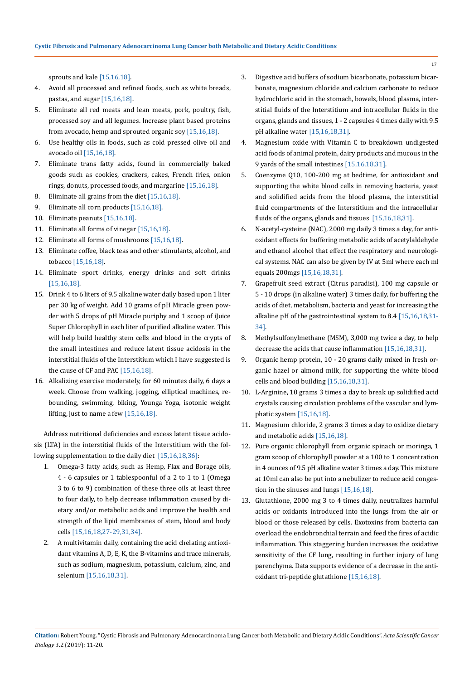sprouts and kale [15,16,18].

- 4. Avoid all processed and refined foods, such as white breads, pastas, and sugar [15,16,18].
- 5. Eliminate all red meats and lean meats, pork, poultry, fish, processed soy and all legumes. Increase plant based proteins from avocado, hemp and sprouted organic soy [15,16,18].
- 6. Use healthy oils in foods, such as cold pressed olive oil and avocado oil [15,16,18].
- 7. Eliminate trans fatty acids, found in commercially baked goods such as cookies, crackers, cakes, French fries, onion rings, donuts, processed foods, and margarine [15,16,18].
- 8. Eliminate all grains from the diet [15,16,18].
- 9. Eliminate all corn products [15,16,18].
- 10. Eliminate peanuts [15,16,18].
- 11. Eliminate all forms of vinegar [15,16,18].
- 12. Eliminate all forms of mushrooms [15,16,18].
- 13. Eliminate coffee, black teas and other stimulants, alcohol, and tobacco [15,16,18].
- 14. Eliminate sport drinks, energy drinks and soft drinks [15,16,18].
- 15. Drink 4 to 6 liters of 9.5 alkaline water daily based upon 1 liter per 30 kg of weight. Add 10 grams of pH Miracle green powder with 5 drops of pH Miracle puriphy and 1 scoop of iJuice Super Chlorophyll in each liter of purified alkaline water. This will help build healthy stem cells and blood in the crypts of the small intestines and reduce latent tissue acidosis in the interstitial fluids of the Interstitium which I have suggested is the cause of CF and PAC [15,16,18].
- 16. Alkalizing exercise moderately, for 60 minutes daily, 6 days a week. Choose from walking, jogging, elliptical machines, rebounding, swimming, biking, Younga Yoga, isotonic weight lifting, just to name a few [15,16,18].

Address nutritional deficiencies and excess latent tissue acidosis (LTA) in the interstitial fluids of the Interstitium with the following supplementation to the daily diet [15,16,18,36]:

- 1. Omega-3 fatty acids, such as Hemp, Flax and Borage oils, 4 - 6 capsules or 1 tablespoonful of a 2 to 1 to 1 (Omega 3 to 6 to 9) combination of these three oils at least three to four daily, to help decrease inflammation caused by dietary and/or metabolic acids and improve the health and strength of the lipid membranes of stem, blood and body cells [15,16,18,27-29,31,34].
- 2. A multivitamin daily, containing the acid chelating antioxidant vitamins A, D, E, K, the B-vitamins and trace minerals, such as sodium, magnesium, potassium, calcium, zinc, and selenium [15,16,18,31].
- 3. Digestive acid buffers of sodium bicarbonate, potassium bicarbonate, magnesium chloride and calcium carbonate to reduce hydrochloric acid in the stomach, bowels, blood plasma, interstitial fluids of the Interstitium and intracellular fluids in the organs, glands and tissues, 1 - 2 capsules 4 times daily with 9.5 pH alkaline water [15,16,18,31].
- 4. Magnesium oxide with Vitamin C to breakdown undigested acid foods of animal protein, dairy products and mucous in the 9 yards of the small intestines [15,16,18,31].
- 5. Coenzyme Q10, 100-200 mg at bedtime, for antioxidant and supporting the white blood cells in removing bacteria, yeast and solidified acids from the blood plasma, the interstitial fluid compartments of the Interstitium and the intracellular fluids of the organs, glands and tissues [15,16,18,31].
- 6. N-acetyl-cysteine (NAC), 2000 mg daily 3 times a day, for antioxidant effects for buffering metabolic acids of acetylaldehyde and ethanol alcohol that effect the respiratory and neurological systems. NAC can also be given by IV at 5ml where each ml equals 200mgs [15,16,18,31].
- 7. Grapefruit seed extract (Citrus paradisi), 100 mg capsule or 5 - 10 drops (in alkaline water) 3 times daily, for buffering the acids of diet, metabolism, bacteria and yeast for increasing the alkaline pH of the gastrointestinal system to 8.4 [15,16,18,31- 34].
- 8. Methylsulfonylmethane (MSM), 3,000 mg twice a day, to help decrease the acids that cause inflammation [15,16,18,31].
- 9. Organic hemp protein, 10 20 grams daily mixed in fresh organic hazel or almond milk, for supporting the white blood cells and blood building [15,16,18,31].
- 10. L-Arginine, 10 grams 3 times a day to break up solidified acid crystals causing circulation problems of the vascular and lymphatic system [15,16,18].
- 11. Magnesium chloride, 2 grams 3 times a day to oxidize dietary and metabolic acids [15,16,18].
- 12. Pure organic chlorophyll from organic spinach or moringa, 1 gram scoop of chlorophyll powder at a 100 to 1 concentration in 4 ounces of 9.5 pH alkaline water 3 times a day. This mixture at 10ml can also be put into a nebulizer to reduce acid congestion in the sinuses and lungs [15,16,18].
- 13. Glutathione, 2000 mg 3 to 4 times daily, neutralizes harmful acids or oxidants introduced into the lungs from the air or blood or those released by cells. Exotoxins from bacteria can overload the endobronchial terrain and feed the fires of acidic inflammation. This staggering burden increases the oxidative sensitivity of the CF lung, resulting in further injury of lung parenchyma. Data supports evidence of a decrease in the antioxidant tri-peptide glutathione [15,16,18].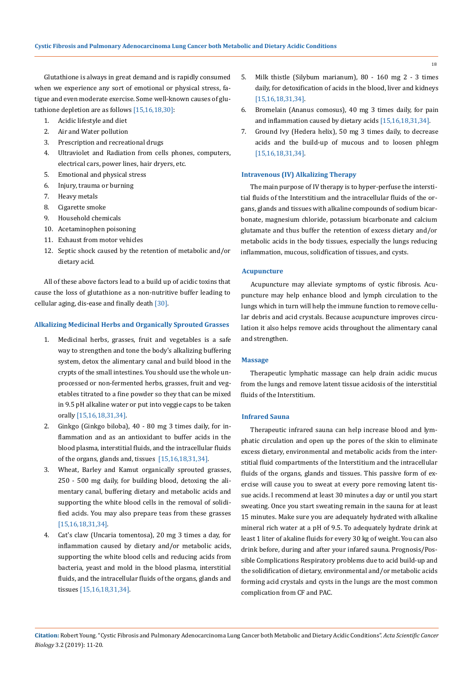Glutathione is always in great demand and is rapidly consumed when we experience any sort of emotional or physical stress, fatigue and even moderate exercise. Some well-known causes of glutathione depletion are as follows [15,16,18,30]:

- 1. Acidic lifestyle and diet
- 2. Air and Water pollution
- 3. Prescription and recreational drugs
- 4. Ultraviolet and Radiation from cells phones, computers, electrical cars, power lines, hair dryers, etc.
- 5. Emotional and physical stress
- 6. Injury, trauma or burning
- 7. Heavy metals
- 8. Cigarette smoke
- 9. Household chemicals
- 10. Acetaminophen poisoning
- 11. Exhaust from motor vehicles
- 12. Septic shock caused by the retention of metabolic and/or dietary acid.

All of these above factors lead to a build up of acidic toxins that cause the loss of glutathione as a non-nutritive buffer leading to cellular aging, dis-ease and finally death [30].

#### **Alkalizing Medicinal Herbs and Organically Sprouted Grasses**

- 1. Medicinal herbs, grasses, fruit and vegetables is a safe way to strengthen and tone the body's alkalizing buffering system, detox the alimentary canal and build blood in the crypts of the small intestines. You should use the whole unprocessed or non-fermented herbs, grasses, fruit and vegetables titrated to a fine powder so they that can be mixed in 9.5 pH alkaline water or put into veggie caps to be taken orally [15,16,18,31,34].
- 2. Ginkgo (Ginkgo biloba), 40 80 mg 3 times daily, for inflammation and as an antioxidant to buffer acids in the blood plasma, interstitial fluids, and the intracellular fluids of the organs, glands and, tissues [15,16,18,31,34].
- 3. Wheat, Barley and Kamut organically sprouted grasses, 250 - 500 mg daily, for building blood, detoxing the alimentary canal, buffering dietary and metabolic acids and supporting the white blood cells in the removal of solidified acids. You may also prepare teas from these grasses [15,16,18,31,34].
- 4. Cat's claw (Uncaria tomentosa), 20 mg 3 times a day, for inflammation caused by dietary and/or metabolic acids, supporting the white blood cells and reducing acids from bacteria, yeast and mold in the blood plasma, interstitial fluids, and the intracellular fluids of the organs, glands and tissues [15,16,18,31,34].
- 5. Milk thistle (Silybum marianum), 80 160 mg 2 3 times daily, for detoxification of acids in the blood, liver and kidneys [15,16,18,31,34].
- 6. Bromelain (Ananus comosus), 40 mg 3 times daily, for pain and inflammation caused by dietary acids [15,16,18,31,34].
- 7. Ground Ivy (Hedera helix), 50 mg 3 times daily, to decrease acids and the build-up of mucous and to loosen phlegm [15,16,18,31,34].

#### **Intravenous (IV) Alkalizing Therapy**

The main purpose of IV therapy is to hyper-perfuse the interstitial fluids of the Interstitium and the intracellular fluids of the organs, glands and tissues with alkaline compounds of sodium bicarbonate, magnesium chloride, potassium bicarbonate and calcium glutamate and thus buffer the retention of excess dietary and/or metabolic acids in the body tissues, especially the lungs reducing inflammation, mucous, solidfication of tissues, and cysts.

#### **Acupuncture**

Acupuncture may alleviate symptoms of cystic fibrosis. Acupuncture may help enhance blood and lymph circulation to the lungs which in turn will help the immune function to remove cellular debris and acid crystals. Because acupuncture improves circulation it also helps remove acids throughout the alimentary canal and strengthen.

#### **Massage**

Therapeutic lymphatic massage can help drain acidic mucus from the lungs and remove latent tissue acidosis of the interstitial fluids of the Interstitium.

#### **Infrared Sauna**

Therapeutic infrared sauna can help increase blood and lymphatic circulation and open up the pores of the skin to eliminate excess dietary, environmental and metabolic acids from the interstitial fluid compartments of the Interstitium and the intracellular fluids of the organs, glands and tissues. This passive form of exercise will cause you to sweat at every pore removing latent tissue acids. I recommend at least 30 minutes a day or until you start sweating. Once you start sweating remain in the sauna for at least 15 minutes. Make sure you are adequately hydrated with alkaline mineral rich water at a pH of 9.5. To adequately hydrate drink at least 1 liter of akaline fluids for every 30 kg of weight. You can also drink before, during and after your infared sauna. Prognosis/Possible Complications Respiratory problems due to acid build-up and the solidification of dietary, environmental and/or metabolic acids forming acid crystals and cysts in the lungs are the most common complication from CF and PAC.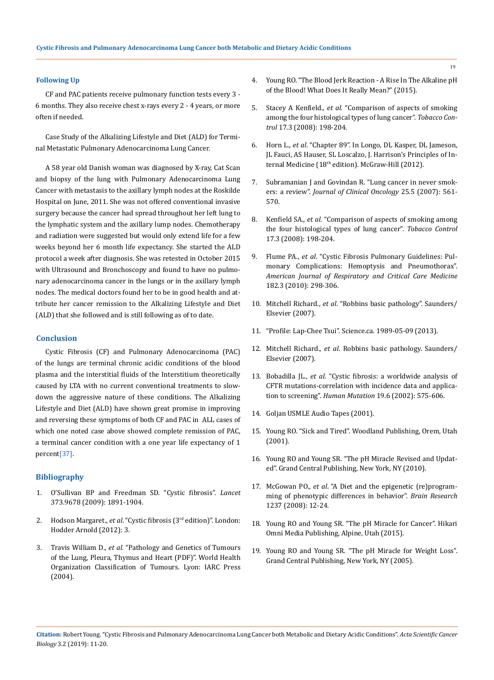#### **Following Up**

CF and PAC patients receive pulmonary function tests every 3 - 6 months. They also receive chest x-rays every 2 - 4 years, or more often if needed.

Case Study of the Alkalizing Lifestyle and Diet (ALD) for Terminal Metastatic Pulmonary Adenocarcinoma Lung Cancer.

A 58 year old Danish woman was diagnosed by X-ray, Cat Scan and biopsy of the lung with Pulmonary Adenocarcinoma Lung Cancer with metastasis to the axillary lymph nodes at the Roskilde Hospital on June, 2011. She was not offered conventional invasive surgery because the cancer had spread throughout her left lung to the lymphatic system and the axillary lump nodes. Chemotherapy and radiation were suggested but would only extend life for a few weeks beyond her 6 month life expectancy. She started the ALD protocol a week after diagnosis. She was retested in October 2015 with Ultrasound and Bronchoscopy and found to have no pulmonary adenocarcinoma cancer in the lungs or in the axillary lymph nodes. The medical doctors found her to be in good health and attribute her cancer remission to the Alkalizing Lifestyle and Diet (ALD) that she followed and is still following as of to date.

#### **Conclusion**

Cystic Fibrosis (CF) and Pulmonary Adenocarcinoma (PAC) of the lungs are terminal chronic acidic conditions of the blood plasma and the interstitial fluids of the Interstitium theoretically caused by LTA with no current conventional treatments to slowdown the aggressive nature of these conditions. The Alkalizing Lifestyle and Diet (ALD) have shown great promise in improving and reversing these symptoms of both CF and PAC in ALL cases of which one noted case above showed complete remission of PAC, a terminal cancer condition with a one year life expectancy of 1 percent[37].

#### **Bibliography**

- 1. [O'Sullivan BP and Freedman SD. "Cystic fibrosis".](https://www.ncbi.nlm.nih.gov/pubmed/19403164) *Lancet* [373.9678 \(2009\): 1891-1904.](https://www.ncbi.nlm.nih.gov/pubmed/19403164)
- 2. Hodson Margaret., *et al*. "Cystic fibrosis (3rd edition)". London: Hodder Arnold (2012): 3.
- 3. Travis William D., *et al*[. "Pathology and Genetics of Tumours](https://www.iarc.fr/wp-content/uploads/2018/07/BB10.pdf)  [of the Lung, Pleura, Thymus and Heart \(PDF\)".](https://www.iarc.fr/wp-content/uploads/2018/07/BB10.pdf) [World Health](http://whobluebooks.iarc.fr/)  [Organization Classification of Tumours. Lyon: IARC Press](http://whobluebooks.iarc.fr/)  [\(2004\).](http://whobluebooks.iarc.fr/)
- 4. [Young RO. "The Blood Jerk Reaction A Rise In The Alkaline pH](https://phoreveryoung.wordpress.com/tag/latent-tissue-acidosis/)  [of the Blood! What Does It Really Mean?" \(2015\).](https://phoreveryoung.wordpress.com/tag/latent-tissue-acidosis/)
- 5. Stacey A Kenfield., *et al*[. "Comparison of aspects of smoking](https://www.ncbi.nlm.nih.gov/pmc/articles/PMC3044470/)  [among the four histological types of lung cancer".](https://www.ncbi.nlm.nih.gov/pmc/articles/PMC3044470/) *Tobacco Control* [17.3 \(2008\): 198-204.](https://www.ncbi.nlm.nih.gov/pmc/articles/PMC3044470/)
- 6. Horn L., *et al*. "Chapter 89". In Longo, DL Kasper, DL Jameson, JL Fauci, AS Hauser, SL Loscalzo, J. Harrison's Principles of Internal Medicine (18<sup>th</sup> edition). McGraw-Hill (2012).
- 7. [Subramanian J and Govindan R. "Lung cancer in never smok](https://www.ncbi.nlm.nih.gov/pubmed/17290066)ers: a review". *[Journal of Clinical Oncology](https://www.ncbi.nlm.nih.gov/pubmed/17290066)* 25.5 (2007): 561- [570.](https://www.ncbi.nlm.nih.gov/pubmed/17290066)
- 8. Kenfield SA., *et al*. "Comparison of aspects of smoking among the four histological types of lung cancer". *Tobacco Control*  17.3 (2008): 198-204.
- 9. Flume PA., *et al*[. "Cystic Fibrosis Pulmonary Guidelines: Pul](https://www.ncbi.nlm.nih.gov/pubmed/20675678)[monary Complications: Hemoptysis and Pneumothorax".](https://www.ncbi.nlm.nih.gov/pubmed/20675678)  *[American Journal of Respiratory and Critical Care Medicine](https://www.ncbi.nlm.nih.gov/pubmed/20675678)*  [182.3 \(2010\): 298-306.](https://www.ncbi.nlm.nih.gov/pubmed/20675678)
- 10. Mitchell Richard., *et al*. "Robbins basic pathology". Saunders/ Elsevier (2007).
- 11. "Profile: Lap-Chee Tsui". Science.ca. 1989-05-09 (2013).
- 12. Mitchell Richard., *et al*. Robbins basic pathology. Saunders/ Elsevier (2007).
- 13. Bobadilla JL., *et al*[. "Cystic fibrosis: a worldwide analysis of](https://www.ncbi.nlm.nih.gov/pubmed/12007216)  [CFTR mutations-correlation with incidence data and applica](https://www.ncbi.nlm.nih.gov/pubmed/12007216)tion to screening". *Human Mutation* [19.6 \(2002\): 575-606.](https://www.ncbi.nlm.nih.gov/pubmed/12007216)
- 14. Goljan USMLE Audio Tapes (2001).
- 15. Young RO. "Sick and Tired". Woodland Publishing, Orem, Utah (2001).
- 16. Young RO and Young SR. "The pH Miracle Revised and Updated". Grand Central Publishing, New York, NY (2010).
- 17. McGowan PO., *et al*[. "A Diet and the epigenetic \(re\)program](https://www.ncbi.nlm.nih.gov/pubmed/18694740)[ming of phenotypic differences in behavior".](https://www.ncbi.nlm.nih.gov/pubmed/18694740) *Brain Research*  [1237 \(2008\): 12-24.](https://www.ncbi.nlm.nih.gov/pubmed/18694740)
- 18. Young RO and Young SR. "The pH Miracle for Cancer". Hikari Omni Media Publishing, Alpine, Utah (2015).
- 19. Young RO and Young SR. "The pH Miracle for Weight Loss". Grand Central Publishing, New York, NY (2005).